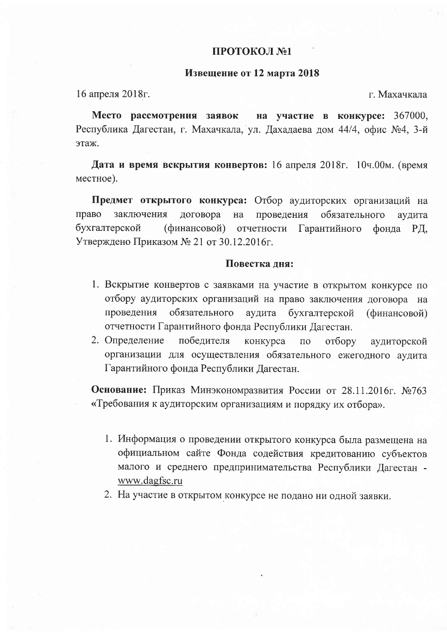## ПРОТОКОЛ №1

## Извещение от 12 марта 2018

16 апреля 2018г.

г. Махачкала

Место рассмотрения заявок на участие в конкурсе: 367000, Республика Дагестан, г. Махачкала, ул. Дахадаева дом 44/4, офис №4, 3-й этаж.

Дата и время вскрытия конвертов: 16 апреля 2018г. 10ч.00м. (время местное).

Предмет открытого конкурса: Отбор аудиторских организаций на право заключения договора на проведения обязательного аудита бухгалтерской (финансовой) отчетности Гарантийного фонда ΡД, Утверждено Приказом № 21 от 30.12.2016г.

## Повестка дня:

- 1. Вскрытие конвертов с заявками на участие в открытом конкурсе по отбору аудиторских организаций на право заключения договора на обязательного аудита бухгалтерской проведения (финансовой) отчетности Гарантийного фонда Республики Дагестан.
- 2. Определение победителя конкурса  $\overline{10}$ отбору аудиторской организации для осуществления обязательного ежегодного аудита Гарантийного фонда Республики Дагестан.

Основание: Приказ Минэкономразвития России от 28.11.2016г. №763 «Требования к аудиторским организациям и порядку их отбора».

- 1. Информация о проведении открытого конкурса была размещена на официальном сайте Фонда содействия кредитованию субъектов малого и среднего предпринимательства Республики Дагестан www.dagfsc.ru
- 2. На участие в открытом конкурсе не подано ни одной заявки.